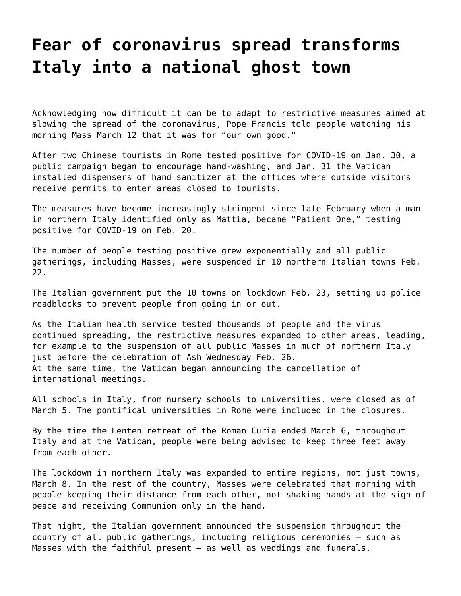## **[Fear of coronavirus spread transforms](https://grandinmedia.ca/fear-of-coronavirus-spread-transforms-italy-into-a-national-ghost-town/) [Italy into a national ghost town](https://grandinmedia.ca/fear-of-coronavirus-spread-transforms-italy-into-a-national-ghost-town/)**

Acknowledging how difficult it can be to adapt to restrictive measures aimed at slowing the spread of the coronavirus, Pope Francis told people watching his morning Mass March 12 that it was for "our own good."

After two Chinese tourists in Rome tested positive for COVID-19 on Jan. 30, a public campaign began to encourage hand-washing, and Jan. 31 the Vatican installed dispensers of hand sanitizer at the offices where outside visitors receive permits to enter areas closed to tourists.

The measures have become increasingly stringent since late February when a man in northern Italy identified only as Mattia, became "Patient One," testing positive for COVID-19 on Feb. 20.

The number of people testing positive grew exponentially and all public gatherings, including Masses, were suspended in 10 northern Italian towns Feb. 22.

The Italian government put the 10 towns on lockdown Feb. 23, setting up police roadblocks to prevent people from going in or out.

As the Italian health service tested thousands of people and the virus continued spreading, the restrictive measures expanded to other areas, leading, for example to the suspension of all public Masses in much of northern Italy just before the celebration of Ash Wednesday Feb. 26. At the same time, the Vatican began announcing the cancellation of international meetings.

All schools in Italy, from nursery schools to universities, were closed as of March 5. The pontifical universities in Rome were included in the closures.

By the time the Lenten retreat of the Roman Curia ended March 6, throughout Italy and at the Vatican, people were being advised to keep three feet away from each other.

The lockdown in northern Italy was expanded to entire regions, not just towns, March 8. In the rest of the country, Masses were celebrated that morning with people keeping their distance from each other, not shaking hands at the sign of peace and receiving Communion only in the hand.

That night, the Italian government announced the suspension throughout the country of all public gatherings, including religious ceremonies – such as Masses with the faithful present – as well as weddings and funerals.